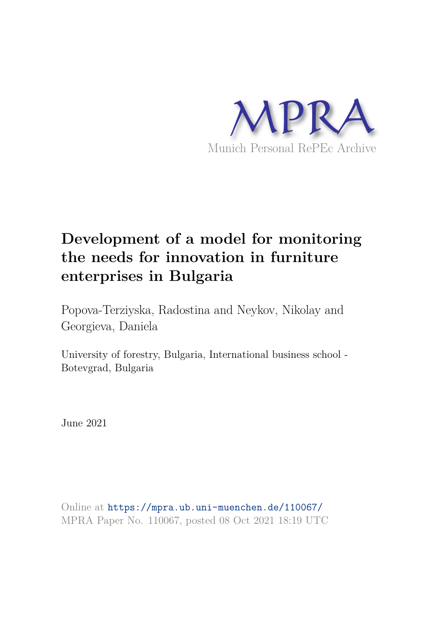

# **Development of a model for monitoring the needs for innovation in furniture enterprises in Bulgaria**

Popova-Terziyska, Radostina and Neykov, Nikolay and Georgieva, Daniela

University of forestry, Bulgaria, International business school - Botevgrad, Bulgaria

June 2021

Online at https://mpra.ub.uni-muenchen.de/110067/ MPRA Paper No. 110067, posted 08 Oct 2021 18:19 UTC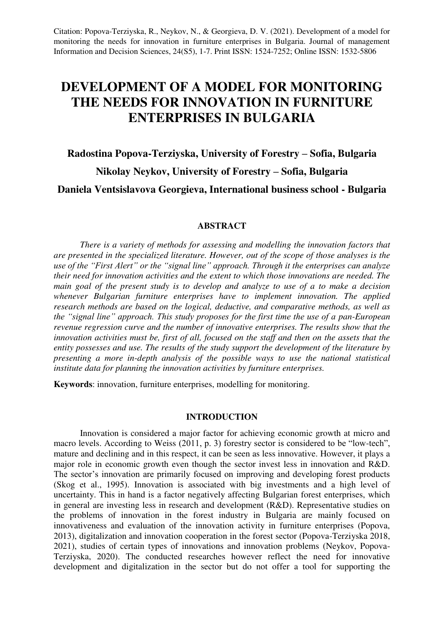## **DEVELOPMENT OF A MODEL FOR MONITORING THE NEEDS FOR INNOVATION IN FURNITURE ENTERPRISES IN BULGARIA**

# **Radostina Popova-Terziyska, University of Forestry – Sofia, Bulgaria Nikolay Neykov, University of Forestry – Sofia, Bulgaria Daniela Ventsislavova Georgieva, International business school - Bulgaria**

#### **ABSTRACT**

*There is a variety of methods for assessing and modelling the innovation factors that are presented in the specialized literature. However, out of the scope of those analyses is the use of the "First Alert" or the "signal line" approach. Through it the enterprises can analyze their need for innovation activities and the extent to which those innovations are needed. The main goal of the present study is to develop and analyze to use of a to make a decision whenever Bulgarian furniture enterprises have to implement innovation. The applied research methods are based on the logical, deductive, and comparative methods, as well as the "signal line" approach. This study proposes for the first time the use of a pan-European revenue regression curve and the number of innovative enterprises. The results show that the innovation activities must be, first of all, focused on the staff and then on the assets that the entity possesses and use. The results of the study support the development of the literature by presenting a more in-depth analysis of the possible ways to use the national statistical institute data for planning the innovation activities by furniture enterprises.* 

**Keywords**: innovation, furniture enterprises, modelling for monitoring.

### **INTRODUCTION**

Innovation is considered a major factor for achieving economic growth at micro and macro levels. According to Weiss (2011, p. 3) forestry sector is considered to be "low-tech", mature and declining and in this respect, it can be seen as less innovative. However, it plays a major role in economic growth even though the sector invest less in innovation and R&D. The sector's innovation are primarily focused on improving and developing forest products (Skog et al., 1995). Innovation is associated with big investments and a high level of uncertainty. This in hand is a factor negatively affecting Bulgarian forest enterprises, which in general are investing less in research and development (R&D). Representative studies on the problems of innovation in the forest industry in Bulgaria are mainly focused on innovativeness and evaluation of the innovation activity in furniture enterprises (Popova, 2013), digitalization and innovation cooperation in the forest sector (Popova-Terziyska 2018, 2021), studies of certain types of innovations and innovation problems (Neykov, Popova-Terziyska, 2020). The conducted researches however reflect the need for innovative development and digitalization in the sector but do not offer a tool for supporting the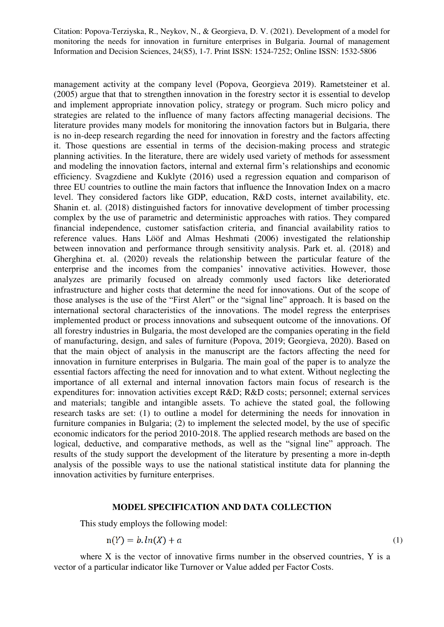management activity at the company level (Popova, Georgieva 2019). Rametsteiner et al. (2005) argue that that to strengthen innovation in the forestry sector it is essential to develop and implement appropriate innovation policy, strategy or program. Such micro policy and strategies are related to the influence of many factors affecting managerial decisions. The literature provides many models for monitoring the innovation factors but in Bulgaria, there is no in-deep research regarding the need for innovation in forestry and the factors affecting it. Those questions are essential in terms of the decision-making process and strategic planning activities. In the literature, there are widely used variety of methods for assessment and modeling the innovation factors, internal and external firm's relationships and economic efficiency. Svagzdiene and Kuklyte (2016) used a regression equation and comparison of three EU countries to outline the main factors that influence the Innovation Index on a macro level. They considered factors like GDP, education, R&D costs, internet availability, etc. Shanin et. al. (2018) distinguished factors for innovative development of timber processing complex by the use of parametric and deterministic approaches with ratios. They compared financial independence, customer satisfaction criteria, and financial availability ratios to reference values. Hans Lööf and Almas Heshmati (2006) investigated the relationship between innovation and performance through sensitivity analysis. Park et. al. (2018) and Gherghina et. al. (2020) reveals the relationship between the particular feature of the enterprise and the incomes from the companies' innovative activities. However, those analyzes are primarily focused on already commonly used factors like deteriorated infrastructure and higher costs that determine the need for innovations. Out of the scope of those analyses is the use of the "First Alert" or the "signal line" approach. It is based on the international sectoral characteristics of the innovations. The model regress the enterprises implemented product or process innovations and subsequent outcome of the innovations. Of all forestry industries in Bulgaria, the most developed are the companies operating in the field of manufacturing, design, and sales of furniture (Popova, 2019; Georgieva, 2020). Based on that the main object of analysis in the manuscript are the factors affecting the need for innovation in furniture enterprises in Bulgaria. The main goal of the paper is to analyze the essential factors affecting the need for innovation and to what extent. Without neglecting the importance of all external and internal innovation factors main focus of research is the expenditures for: innovation activities except R&D; R&D costs; personnel; external services and materials; tangible and intangible assets. To achieve the stated goal, the following research tasks are set: (1) to outline a model for determining the needs for innovation in furniture companies in Bulgaria; (2) to implement the selected model, by the use of specific economic indicators for the period 2010-2018. The applied research methods are based on the logical, deductive, and comparative methods, as well as the "signal line" approach. The results of the study support the development of the literature by presenting a more in-depth analysis of the possible ways to use the national statistical institute data for planning the innovation activities by furniture enterprises.

#### **MODEL SPECIFICATION AND DATA COLLECTION**

This study employs the following model:

$$
n(Y) = b \cdot ln(X) + a
$$

where  $X$  is the vector of innovative firms number in the observed countries,  $Y$  is a vector of a particular indicator like Turnover or Value added per Factor Costs.

(1)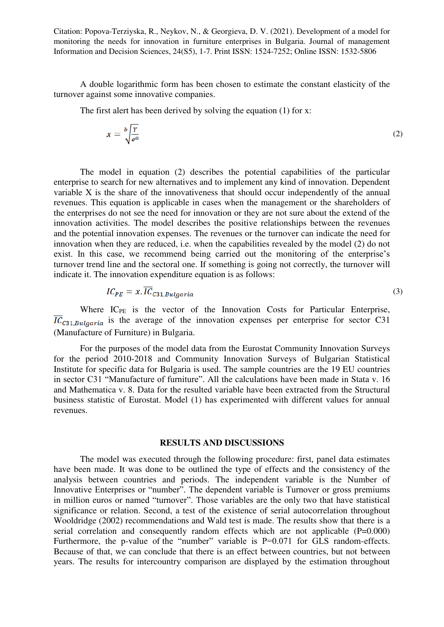A double logarithmic form has been chosen to estimate the constant elasticity of the turnover against some innovative companies.

The first alert has been derived by solving the equation (1) for x:

$$
x = \sqrt[3]{\frac{Y}{e^a}}
$$
 (2)

The model in equation (2) describes the potential capabilities of the particular enterprise to search for new alternatives and to implement any kind of innovation. Dependent variable X is the share of the innovativeness that should occur independently of the annual revenues. This equation is applicable in cases when the management or the shareholders of the enterprises do not see the need for innovation or they are not sure about the extend of the innovation activities. The model describes the positive relationships between the revenues and the potential innovation expenses. The revenues or the turnover can indicate the need for innovation when they are reduced, i.e. when the capabilities revealed by the model (2) do not exist. In this case, we recommend being carried out the monitoring of the enterprise's turnover trend line and the sectoral one. If something is going not correctly, the turnover will indicate it. The innovation expenditure equation is as follows:

$$
IC_{PE} = x. IC_{C31, Bulgaria}
$$
\n<sup>(3)</sup>

Where IC<sub>PE</sub> is the vector of the Innovation Costs for Particular Enterprise,  $\overline{IC}_{C31,Bulgaria}$  is the average of the innovation expenses per enterprise for sector C31 (Manufacture of Furniture) in Bulgaria.

For the purposes of the model data from the Eurostat Community Innovation Surveys for the period 2010-2018 and Community Innovation Surveys of Bulgarian Statistical Institute for specific data for Bulgaria is used. The sample countries are the 19 EU countries in sector C31 "Manufacture of furniture". All the calculations have been made in Stata v. 16 and Mathematica v. 8. Data for the resulted variable have been extracted from the Structural business statistic of Eurostat. Model (1) has experimented with different values for annual revenues.

#### **RESULTS AND DISCUSSIONS**

The model was executed through the following procedure: first, panel data estimates have been made. It was done to be outlined the type of effects and the consistency of the analysis between countries and periods. The independent variable is the Number of Innovative Enterprises or "number". The dependent variable is Turnover or gross premiums in million euros or named "turnover". Those variables are the only two that have statistical significance or relation. Second, a test of the existence of serial autocorrelation throughout Wooldridge (2002) recommendations and Wald test is made. The results show that there is a serial correlation and consequently random effects which are not applicable (P=0.000) Furthermore, the p-value of the "number" variable is P=0.071 for GLS random-effects. Because of that, we can conclude that there is an effect between countries, but not between years. The results for intercountry comparison are displayed by the estimation throughout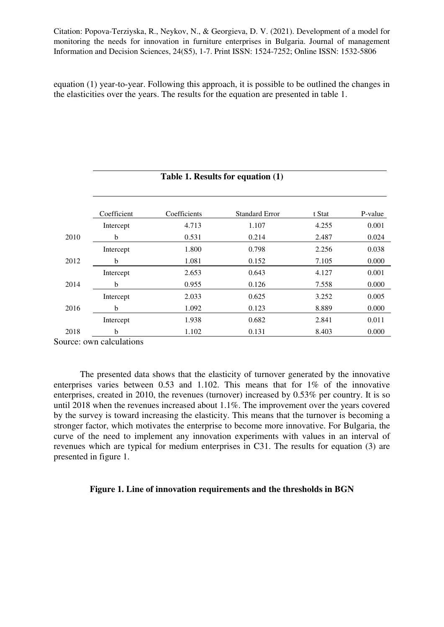equation (1) year-to-year. Following this approach, it is possible to be outlined the changes in the elasticities over the years. The results for the equation are presented in table 1.

|      | Table 1. Results for equation (1) |              |                       |        |         |
|------|-----------------------------------|--------------|-----------------------|--------|---------|
|      |                                   |              |                       |        |         |
|      | Coefficient                       | Coefficients | <b>Standard Error</b> | t Stat | P-value |
|      | Intercept                         | 4.713        | 1.107                 | 4.255  | 0.001   |
| 2010 | b                                 | 0.531        | 0.214                 | 2.487  | 0.024   |
|      | Intercept                         | 1.800        | 0.798                 | 2.256  | 0.038   |
| 2012 | b                                 | 1.081        | 0.152                 | 7.105  | 0.000   |
|      | Intercept                         | 2.653        | 0.643                 | 4.127  | 0.001   |
| 2014 | b                                 | 0.955        | 0.126                 | 7.558  | 0.000   |
|      | Intercept                         | 2.033        | 0.625                 | 3.252  | 0.005   |
| 2016 | b                                 | 1.092        | 0.123                 | 8.889  | 0.000   |
|      | Intercept                         | 1.938        | 0.682                 | 2.841  | 0.011   |
| 2018 | b                                 | 1.102        | 0.131                 | 8.403  | 0.000   |

Source: own calculations

The presented data shows that the elasticity of turnover generated by the innovative enterprises varies between 0.53 and 1.102. This means that for 1% of the innovative enterprises, created in 2010, the revenues (turnover) increased by 0.53% per country. It is so until 2018 when the revenues increased about 1.1%. The improvement over the years covered by the survey is toward increasing the elasticity. This means that the turnover is becoming a stronger factor, which motivates the enterprise to become more innovative. For Bulgaria, the curve of the need to implement any innovation experiments with values in an interval of revenues which are typical for medium enterprises in C31. The results for equation (3) are presented in figure 1.

### **Figure 1. Line of innovation requirements and the thresholds in BGN**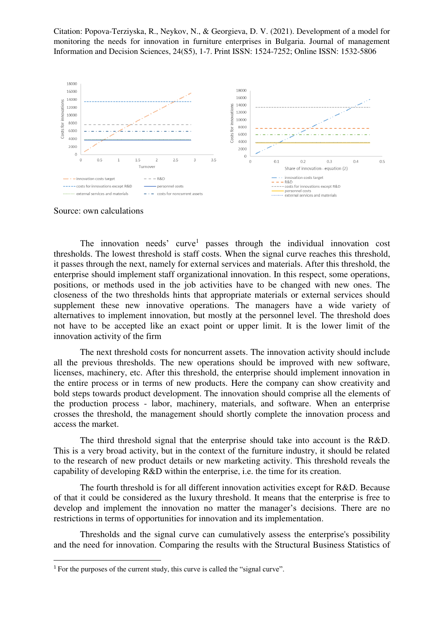

Source: own calculations

 $\overline{a}$ 

The innovation needs' curve<sup>1</sup> passes through the individual innovation cost thresholds. The lowest threshold is staff costs. When the signal curve reaches this threshold, it passes through the next, namely for external services and materials. After this threshold, the enterprise should implement staff organizational innovation. In this respect, some operations, positions, or methods used in the job activities have to be changed with new ones. The closeness of the two thresholds hints that appropriate materials or external services should supplement these new innovative operations. The managers have a wide variety of alternatives to implement innovation, but mostly at the personnel level. The threshold does not have to be accepted like an exact point or upper limit. It is the lower limit of the innovation activity of the firm

The next threshold costs for noncurrent assets. The innovation activity should include all the previous thresholds. The new operations should be improved with new software, licenses, machinery, etc. After this threshold, the enterprise should implement innovation in the entire process or in terms of new products. Here the company can show creativity and bold steps towards product development. The innovation should comprise all the elements of the production process - labor, machinery, materials, and software. When an enterprise crosses the threshold, the management should shortly complete the innovation process and access the market.

The third threshold signal that the enterprise should take into account is the R&D. This is a very broad activity, but in the context of the furniture industry, it should be related to the research of new product details or new marketing activity. This threshold reveals the capability of developing R&D within the enterprise, i.e. the time for its creation.

The fourth threshold is for all different innovation activities except for R&D. Because of that it could be considered as the luxury threshold. It means that the enterprise is free to develop and implement the innovation no matter the manager's decisions. There are no restrictions in terms of opportunities for innovation and its implementation.

Thresholds and the signal curve can cumulatively assess the enterprise's possibility and the need for innovation. Comparing the results with the Structural Business Statistics of

<sup>&</sup>lt;sup>1</sup> For the purposes of the current study, this curve is called the "signal curve".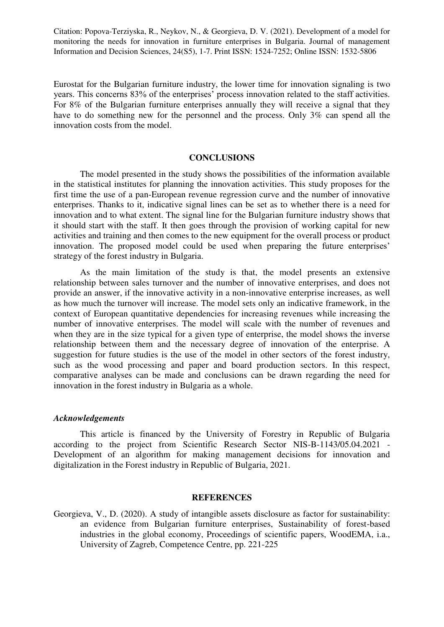Eurostat for the Bulgarian furniture industry, the lower time for innovation signaling is two years. This concerns 83% of the enterprises' process innovation related to the staff activities. For 8% of the Bulgarian furniture enterprises annually they will receive a signal that they have to do something new for the personnel and the process. Only 3% can spend all the innovation costs from the model.

#### **CONCLUSIONS**

The model presented in the study shows the possibilities of the information available in the statistical institutes for planning the innovation activities. This study proposes for the first time the use of a pan-European revenue regression curve and the number of innovative enterprises. Thanks to it, indicative signal lines can be set as to whether there is a need for innovation and to what extent. The signal line for the Bulgarian furniture industry shows that it should start with the staff. It then goes through the provision of working capital for new activities and training and then comes to the new equipment for the overall process or product innovation. The proposed model could be used when preparing the future enterprises' strategy of the forest industry in Bulgaria.

As the main limitation of the study is that, the model presents an extensive relationship between sales turnover and the number of innovative enterprises, and does not provide an answer, if the innovative activity in a non-innovative enterprise increases, as well as how much the turnover will increase. The model sets only an indicative framework, in the context of European quantitative dependencies for increasing revenues while increasing the number of innovative enterprises. The model will scale with the number of revenues and when they are in the size typical for a given type of enterprise, the model shows the inverse relationship between them and the necessary degree of innovation of the enterprise. A suggestion for future studies is the use of the model in other sectors of the forest industry, such as the wood processing and paper and board production sectors. In this respect, comparative analyses can be made and conclusions can be drawn regarding the need for innovation in the forest industry in Bulgaria as a whole.

#### *Acknowledgements*

This article is financed by the University of Forestry in Republic of Bulgaria according to the project from Scientific Research Sector NIS-B-1143/05.04.2021 - Development of an algorithm for making management decisions for innovation and digitalization in the Forest industry in Republic of Bulgaria, 2021.

#### **REFERENCES**

Georgieva, V., D. (2020). A study of intangible assets disclosure as factor for sustainability: an evidence from Bulgarian furniture enterprises, Sustainability of forest-based industries in the global economy, Proceedings of scientific papers, WoodEMA, i.a., University of Zagreb, Competence Centre, pp. 221-225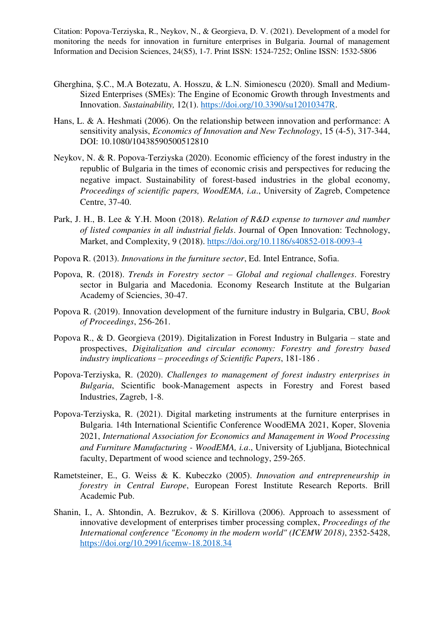- Gherghina, Ș.C., M.A Botezatu, A. Hosszu, & L.N. Simionescu (2020). Small and Medium-Sized Enterprises (SMEs): The Engine of Economic Growth through Investments and Innovation. *Sustainability,* 12(1). [https://doi.org/10.3390/su12010347R.](https://doi.org/10.3390/su12010347R)
- Hans, L. & A. Heshmati (2006). On the relationship between innovation and performance: A sensitivity analysis, *Economics of Innovation and New Technology*, 15 (4-5), 317-344, DOI: 10.1080/10438590500512810
- Neykov, N. & R. Popova-Terziyska (2020). Еconomic efficiency of the forest industry in the republic of Bulgaria in the times of economic crisis and perspectives for reducing the negative impact. Sustainability of forest-based industries in the global economy, *Proceedings of scientific papers, WoodEMA, i.a*., University of Zagreb, Competence Centre, 37-40.
- Park, J. H., B. Lee & Y.H. Moon (2018). *Relation of R&D expense to turnover and number of listed companies in all industrial fields*. Journal of Open Innovation: Technology, Market, and Complexity, 9 (2018).<https://doi.org/10.1186/s40852-018-0093-4>
- Popova R. (2013). *Innovations in the furniture sector*, Ed. Intel Entrance, Sofia.
- Popova, R. (2018). *Trends in Forestry sector – Global and regional challenges*. Forestry sector in Bulgaria and Macedonia. Economy Research Institute at the Bulgarian Academy of Sciencies, 30-47.
- Popova R. (2019). Innovation development of the furniture industry in Bulgaria, CBU, *Book of Proceedings*, 256-261.
- Popova R., & D. Georgieva (2019). Digitalization in Forest Industry in Bulgaria state and prospectives, *Digitalization and circular economy: Forestry and forestry based industry implications – proceedings of Scientific Papers*, 181-186 .
- Popova-Terziyska, R. (2020). *Challenges to management of forest industry enterprises in Bulgaria*, Scientific book-Management aspects in Forestry and Forest based Industries, Zagreb, 1-8.
- Popova-Terziyska, R. (2021). Digital marketing instruments at the furniture enterprises in Bulgaria. 14th International Scientific Conference WoodEMA 2021, Koper, Slovenia 2021, *International Association for Economics and Management in Wood Processing and Furniture Manufacturing - WoodEMA, i.a*., University of Ljubljana, Biotechnical faculty, Department of wood science and technology, 259-265.
- Rametsteiner, E., G. Weiss & K. Kubeczko (2005). *Innovation and entrepreneurship in forestry in Central Europe*, European Forest Institute Research Reports. Brill Academic Pub.
- Shanin, I., А. Shtondin, А. Bezrukov, & S. Kirillova (2006). Approach to assessment of innovative development of enterprises timber processing complex, *Proceedings of the International conference "Economy in the modern world" (ICEMW 2018)*, 2352-5428, <https://doi.org/10.2991/icemw-18.2018.34>